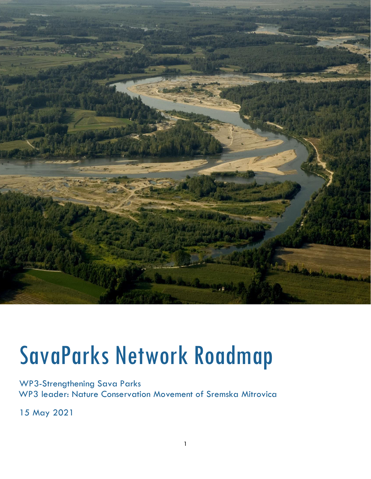

# SavaParks Network Roadmap

WP3-Strengthening Sava Parks WP3 leader: Nature Conservation Movement of Sremska Mitrovica

15 May 2021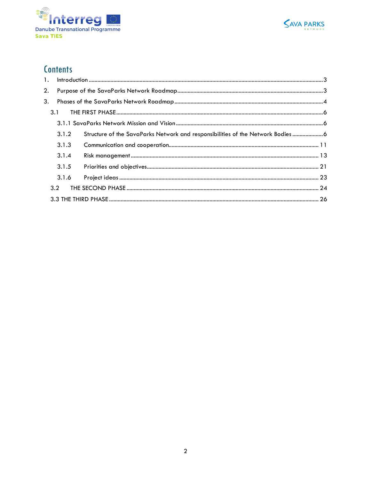



# **Contents**

<span id="page-1-0"></span>

| $\mathbf{1}$ . |       |                                                                               |  |  |  |  |  |
|----------------|-------|-------------------------------------------------------------------------------|--|--|--|--|--|
| 2.             |       |                                                                               |  |  |  |  |  |
| 3.             |       |                                                                               |  |  |  |  |  |
|                | 3.1   |                                                                               |  |  |  |  |  |
|                |       |                                                                               |  |  |  |  |  |
|                | 3.1.2 | Structure of the SavaParks Network and responsibilities of the Network Bodies |  |  |  |  |  |
|                | 3.1.3 |                                                                               |  |  |  |  |  |
|                | 3.1.4 |                                                                               |  |  |  |  |  |
|                | 3.1.5 |                                                                               |  |  |  |  |  |
|                | 3.1.6 |                                                                               |  |  |  |  |  |
|                | 3.2   |                                                                               |  |  |  |  |  |
|                |       |                                                                               |  |  |  |  |  |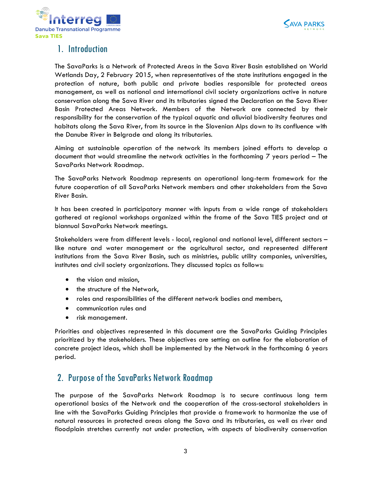



# 1. Introduction

The SavaParks is a Network of Protected Areas in the Sava River Basin established on World Wetlands Day, 2 February 2015, when representatives of the state institutions engaged in the protection of nature, both public and private bodies responsible for protected areas management, as well as national and international civil society organizations active in nature conservation along the Sava River and its tributaries signed the Declaration on the Sava River Basin Protected Areas Network. Members of the Network are connected by their responsibility for the conservation of the typical aquatic and alluvial biodiversity features and habitats along the Sava River, from its source in the Slovenian Alps down to its confluence with the Danube River in Belgrade and along its tributaries.

Aiming at sustainable operation of the network its members joined efforts to develop a document that would streamline the network activities in the forthcoming 7 years period – The SavaParks Network Roadmap.

The SavaParks Network Roadmap represents an operational long-term framework for the future cooperation of all SavaParks Network members and other stakeholders from the Sava River Basin.

It has been created in participatory manner with inputs from a wide range of stakeholders gathered at regional workshops organized within the frame of the Sava TIES project and at biannual SavaParks Network meetings.

Stakeholders were from different levels - local, regional and national level, different sectors – like nature and water management or the agricultural sector, and represented different institutions from the Sava River Basin, such as ministries, public utility companies, universities, institutes and civil society organizations. They discussed topics as follows:

- the vision and mission,
- the structure of the Network,
- roles and responsibilities of the different network bodies and members,
- communication rules and
- risk management.

Priorities and objectives represented in this document are the SavaParks Guiding Principles prioritized by the stakeholders. These objectives are setting an outline for the elaboration of concrete project ideas, which shall be implemented by the Network in the forthcoming 6 years period.

## <span id="page-2-0"></span>2. Purpose of the SavaParks Network Roadmap

The purpose of the SavaParks Network Roadmap is to secure continuous long term operational basics of the Network and the cooperation of the cross-sectoral stakeholders in line with the SavaParks Guiding Principles that provide a framework to harmonize the use of natural resources in protected areas along the Sava and its tributaries, as well as river and floodplain stretches currently not under protection, with aspects of biodiversity conservation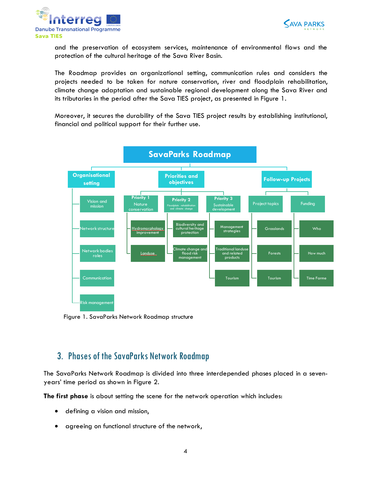



and the preservation of ecosystem services, maintenance of environmental flows and the protection of the cultural heritage of the Sava River Basin.

The Roadmap provides an organizational setting, communication rules and considers the projects needed to be taken for nature conservation, river and floodplain rehabilitation, climate change adaptation and sustainable regional development along the Sava River and its tributaries in the period after the Sava TIES project, as presented in Figure 1.

Moreover, it secures the durability of the Sava TIES project results by establishing institutional, financial and political support for their further use.



Figure 1. SavaParks Network Roadmap structure

# <span id="page-3-0"></span>3. Phases of the SavaParks Network Roadmap

The SavaParks Network Roadmap is divided into three interdepended phases placed in a sevenyears' time period as shown in Figure 2.

**The first phase** is about setting the scene for the network operation which includes:

- defining a vision and mission,
- agreeing on functional structure of the network,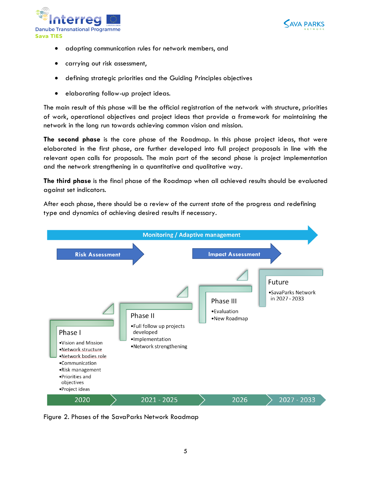



- adopting communication rules for network members, and
- carrying out risk assessment,
- defining strategic priorities and the Guiding Principles objectives
- elaborating follow-up project ideas.

The main result of this phase will be the official registration of the network with structure, priorities of work, operational objectives and project ideas that provide a framework for maintaining the network in the long run towards achieving common vision and mission.

**The second phase** is the core phase of the Roadmap. In this phase project ideas, that were elaborated in the first phase, are further developed into full project proposals in line with the relevant open calls for proposals. The main part of the second phase is project implementation and the network strengthening in a quantitative and qualitative way.

**The third phase** is the final phase of the Roadmap when all achieved results should be evaluated against set indicators.

After each phase, there should be a review of the current state of the progress and redefining type and dynamics of achieving desired results if necessary.



Figure 2. Phases of the SavaParks Network Roadmap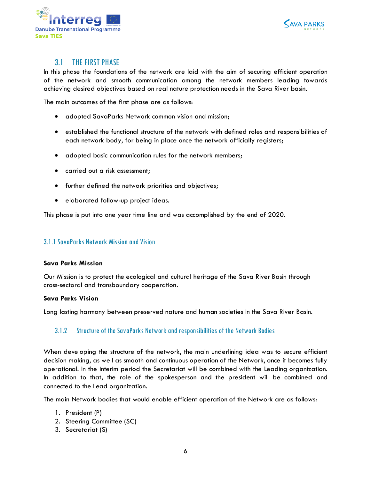



## 3.1 THE FIRST PHASE

<span id="page-5-0"></span>In this phase the foundations of the network are laid with the aim of securing efficient operation of the network and smooth communication among the network members leading towards achieving desired objectives based on real nature protection needs in the Sava River basin.

The main outcomes of the first phase are as follows:

- adopted SavaParks Network common vision and mission;
- established the functional structure of the network with defined roles and responsibilities of each network body, for being in place once the network officially registers;
- adopted basic communication rules for the network members;
- carried out a risk assessment;
- further defined the network priorities and objectives;
- elaborated follow-up project ideas.

This phase is put into one year time line and was accomplished by the end of 2020.

#### <span id="page-5-1"></span>3.1.1 SavaParks Network Mission and Vision

#### **Sava Parks Mission**

Our Mission is to protect the ecological and cultural heritage of the Sava River Basin through cross-sectoral and transboundary cooperation.

#### **Sava Parks Vision**

Long lasting harmony between preserved nature and human societies in the Sava River Basin.

#### <span id="page-5-2"></span>3.1.2 Structure of the SavaParks Network and responsibilities of the Network Bodies

When developing the structure of the network, the main underlining idea was to secure efficient decision making, as well as smooth and continuous operation of the Network, once it becomes fully operational. In the interim period the Secretariat will be combined with the Leading organization. In addition to that, the role of the spokesperson and the president will be combined and connected to the Lead organization.

The main Network bodies that would enable efficient operation of the Network are as follows:

- 1. President (P)
- 2. Steering Committee (SC)
- 3. Secretariat (S)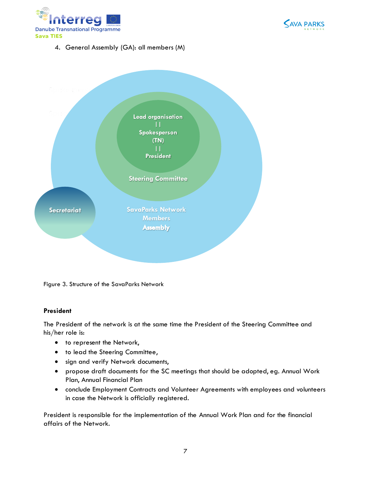



4. General Assembly (GA): all members (M)



Figure 3. Structure of the SavaParks Network

#### **President**

The President of the network is at the same time the President of the Steering Committee and his/her role is:

- $\bullet$  to represent the Network,
- $\bullet$  to lead the Steering Committee,
- **•** sign and verify Network documents,
- propose draft documents for the SC meetings that should be adopted, eg. Annual Work Plan, Annual Financial Plan
- conclude Employment Contracts and Volunteer Agreements with employees and volunteers in case the Network is officially registered.

President is responsible for the implementation of the Annual Work Plan and for the financial affairs of the Network.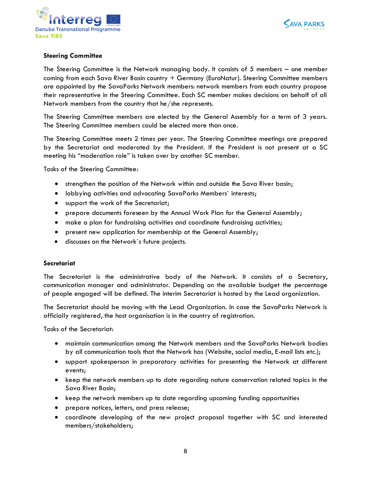



#### **Steering Committee**

The Steering Committee is the Network managing body. It consists of 5 members – one member coming from each Sava River Basin country + Germany (EuroNatur). Steering Committee members are appointed by the SavaParks Network members: network members from each country propose their representative in the Steering Committee. Each SC member makes decisions on behalf of all Network members from the country that he/she represents.

The Steering Committee members are elected by the General Assembly for a term of 3 years. The Steering Committee members could be elected more than once.

The Steering Committee meets 2 times per year. The Steering Committee meetings are prepared by the Secretariat and moderated by the President. If the President is not present at a SC meeting his "moderation role" is taken over by another SC member.

Tasks of the Steering Committee:

- strengthen the position of the Network within and outside the Sava River basin;
- lobbying activities and advocating SavaParks Members` interests;
- support the work of the Secretariat;
- prepare documents foreseen by the Annual Work Plan for the General Assembly;
- make a plan for fundraising activities and coordinate fundraising activities;
- present new application for membership at the General Assembly;
- discusses on the Network`s future projects.

#### **Secretariat**

The Secretariat is the administrative body of the Network. It consists of a Secretary, communication manager and administrator. Depending on the available budget the percentage of people engaged will be defined. The interim Secretariat is hosted by the Lead organization.

The Secretariat should be moving with the Lead Organization. In case the SavaParks Network is officially registered, the host organisation is in the country of registration.

Tasks of the Secretariat:

- maintain communication among the Network members and the SavaParks Network bodies by all communication tools that the Network has (Website, social media, E-mail lists etc.);
- support spokesperson in preparatory activities for presenting the Network at different events;
- keep the network members up to date regarding nature conservation related topics in the Sava River Basin;
- keep the network members up to date regarding upcoming funding opportunities
- prepare notices, letters, and press release;
- coordinate developing of the new project proposal together with SC and interested members/stakeholders;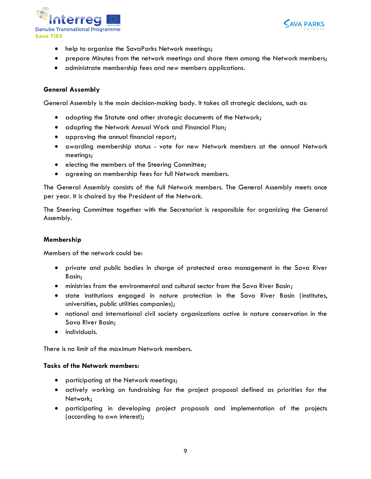



- help to organize the SavaParks Network meetings;
- prepare Minutes from the network meetings and share them among the Network members;
- administrate membership fees and new members applications.

#### **General Assembly**

General Assembly is the main decision-making body. It takes all strategic decisions, such as:

- adopting the Statute and other strategic documents of the Network;
- adopting the Network Annual Work and Financial Plan;
- approving the annual financial report;
- awarding membership status vote for new Network members at the annual Network meetings;
- **•** electing the members of the Steering Committee;
- agreeing on membership fees for full Network members.

The General Assembly consists of the full Network members. The General Assembly meets once per year. It is chaired by the President of the Network.

The Steering Committee together with the Secretariat is responsible for organizing the General Assembly.

#### **Membership**

Members of the network could be:

- private and public bodies in charge of protected area management in the Sava River Basin;
- ministries from the environmental and cultural sector from the Sava River Basin;
- state institutions engaged in nature protection in the Sava River Basin (institutes, universities, public utilities companies);
- national and international civil society organizations active in nature conservation in the Sava River Basin;
- individuals.

There is no limit of the maximum Network members.

#### **Tasks of the Network members:**

- participating at the Network meetings;
- actively working on fundraising for the project proposal defined as priorities for the Network;
- participating in developing project proposals and implementation of the projects (according to own interest);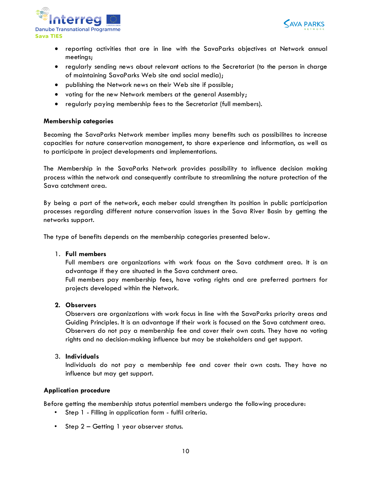



- reporting activities that are in line with the SavaParks objectives at Network annual meetings;
- regularly sending news about relevant actions to the Secretariat (to the person in charge of maintaining SavaParks Web site and social media);
- publishing the Network news on their Web site if possible;
- voting for the new Network members at the general Assembly;
- regularly paying membership fees to the Secretariat (full members).

#### **Membership categories**

Becoming the SavaParks Network member implies many benefits such as possibilites to increase capacities for nature conservation management, to share experience and information, as well as to participate in project developments and implementations.

The Membership in the SavaParks Network provides possibility to influence decision making process within the network and consequently contribute to streamlining the nature protection of the Sava catchment area.

By being a part of the network, each meber could strengthen its position in public participation processes regarding different nature conservation issues in the Sava River Basin by getting the networks support.

The type of benefits depends on the membership categories presented below.

#### 1. **Full members**

Full members are organizations with work focus on the Sava catchment area. It is an advantage if they are situated in the Sava catchment area.

Full members pay membership fees, have voting rights and are preferred partners for projects developed within the Network.

#### **2. Observers**

Observers are organizations with work focus in line with the SavaParks priority areas and Guiding Principles. It is an advantage if their work is focused on the Sava catchment area. Observers do not pay a membership fee and cover their own costs. They have no voting rights and no decision-making influence but may be stakeholders and get support.

#### 3. **Individuals**

Individuals do not pay a membership fee and cover their own costs. They have no influence but may get support.

#### **Application procedure**

Before getting the membership status potential members undergo the following procedure:

- Step 1 Filling in application form fulfil criteria.
- Step 2 Getting 1 year observer status.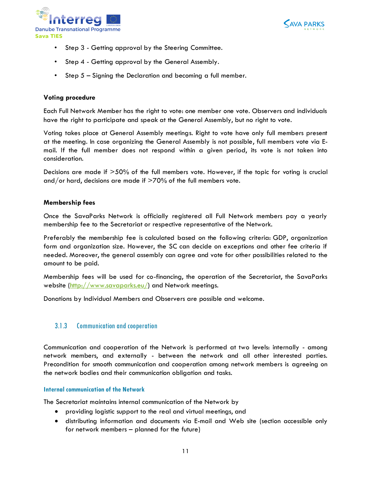



- Step 3 Getting approval by the Steering Committee.
- Step 4 Getting approval by the General Assembly.
- Step 5 Signing the Declaration and becoming a full member.

#### **Voting procedure**

Each Full Network Member has the right to vote: one member one vote. Observers and individuals have the right to participate and speak at the General Assembly, but no right to vote.

Voting takes place at General Assembly meetings. Right to vote have only full members present at the meeting. In case organizing the General Assembly is not possible, full members vote via Email. If the full member does not respond within a given period, its vote is not taken into consideration.

Decisions are made if >50% of the full members vote. However, if the topic for voting is crucial and/or hard, decisions are made if >70% of the full members vote.

#### **Membership fees**

Once the SavaParks Network is officially registered all Full Network members pay a yearly membership fee to the Secretariat or respective representative of the Network.

Preferably the membership fee is calculated based on the following criteria: GDP, organization form and organization size. However, the SC can decide on exceptions and other fee criteria if needed. Moreover, the general assembly can agree and vote for other possibilities related to the amount to be paid.

Membership fees will be used for co-financing, the operation of the Secretariat, the SavaParks website [\(http://www.savaparks.eu/\)](http://www.savaparks.eu/) and Network meetings.

Donations by Individual Members and Observers are possible and welcome.

#### <span id="page-10-0"></span>3.1.3 Communication and cooperation

Communication and cooperation of the Network is performed at two levels: internally - among network members, and externally - between the network and all other interested parties. Precondition for smooth communication and cooperation among network members is agreeing on the network bodies and their communication obligation and tasks.

#### **Internal communication of the Network**

The Secretariat maintains internal communication of the Network by

- providing logistic support to the real and virtual meetings, and
- distributing information and documents via E-mail and Web site (section accessible only for network members – planned for the future)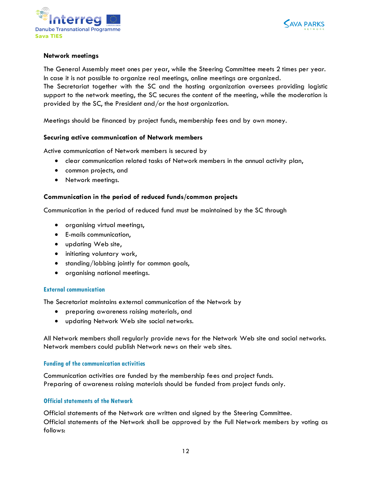



#### **Network meetings**

The General Assembly meet ones per year, while the Steering Committee meets 2 times per year. In case it is not possible to organize real meetings, online meetings are organized.

The Secretariat together with the SC and the hosting organization oversees providing logistic support to the network meeting, the SC secures the content of the meeting, while the moderation is provided by the SC, the President and/or the host organization.

Meetings should be financed by project funds, membership fees and by own money.

#### **Securing active communication of Network members**

Active communication of Network members is secured by

- clear communication related tasks of Network members in the annual activity plan,
- common projects, and
- Network meetings.

#### **Communication in the period of reduced funds/common projects**

Communication in the period of reduced fund must be maintained by the SC through

- organising virtual meetings,
- E-mails communication,
- updating Web site,
- initiating voluntary work,
- standing/lobbing jointly for common goals,
- organising national meetings.

#### **External communication**

The Secretariat maintains external communication of the Network by

- preparing awareness raising materials, and
- updating Network Web site social networks.

All Network members shall regularly provide news for the Network Web site and social networks. Network members could publish Network news on their web sites.

#### **Funding of the communication activities**

Communication activities are funded by the membership fees and project funds. Preparing of awareness raising materials should be funded from project funds only.

#### **Official statements of the Network**

Official statements of the Network are written and signed by the Steering Committee. Official statements of the Network shall be approved by the Full Network members by voting as follows: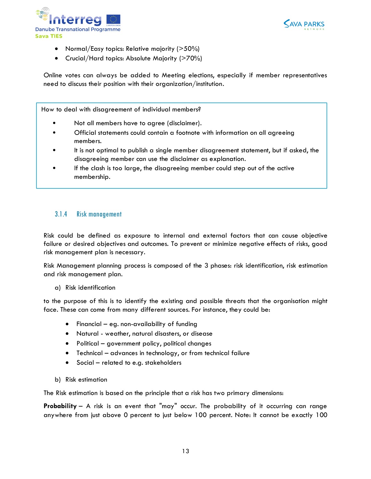



- Normal/Easy topics: Relative majority (>50%)
- Crucial/Hard topics: Absolute Majority (>70%)

Online votes can always be added to Meeting elections, especially if member representatives need to discuss their position with their organization/institution.

How to deal with disagreement of individual members?

- Not all members have to agree (disclaimer).
- Official statements could contain a footnote with information on all agreeing members.
- It is not optimal to publish a single member disagreement statement, but if asked, the disagreeing member can use the disclaimer as explanation.
- If the clash is too large, the disagreeing member could step out of the active membership.

#### <span id="page-12-0"></span>3.1.4 Risk management

Risk could be defined as exposure to internal and external factors that can cause objective failure or desired objectives and outcomes. To prevent or minimize negative effects of risks, good risk management plan is necessary.

Risk Management planning process is composed of the 3 phases: risk identification, risk estimation and risk management plan.

a) Risk identification

to the purpose of this is to identify the existing and possible threats that the organisation might face. These can come from many different sources. For instance, they could be:

- $\bullet$  Financial eg. non-availability of funding
- Natural weather, natural disasters, or disease
- Political government policy, political changes
- Technical advances in technology, or from technical failure
- Social related to e.g. stakeholders
- b) Risk estimation

The Risk estimation is based on the principle that a risk has two primary dimensions:

**Probability** – A risk is an event that "may" occur. The probability of it occurring can range anywhere from just above 0 percent to just below 100 percent. Note: It cannot be exactly 100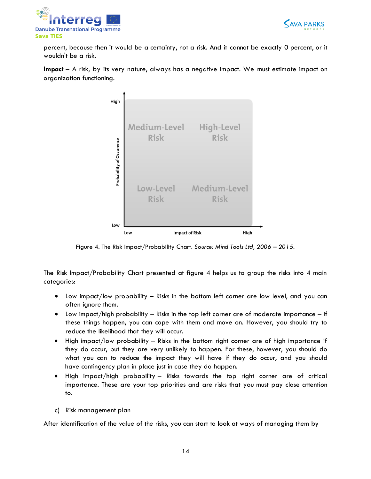



percent, because then it would be a certainty, not a risk. And it cannot be exactly 0 percent, or it wouldn't be a risk.

**Impact** – A risk, by its very nature, always has a negative impact. We must estimate impact on organization functioning.



Figure 4. The Risk Impact/Probability Chart. *Source: Mind Tools Ltd, 2006 – 2015.*

The Risk Impact/Probability Chart presented at figure 4 helps us to group the risks into 4 main categories:

- Low impact/low probability Risks in the bottom left corner are low level, and you can often ignore them.
- $\bullet$  Low impact/high probability Risks in the top left corner are of moderate importance if these things happen, you can cope with them and move on. However, you should try to reduce the likelihood that they will occur.
- High impact/low probability Risks in the bottom right corner are of high importance if they do occur, but they are very unlikely to happen. For these, however, you should do what you can to reduce the impact they will have if they do occur, and you should have contingency plan in place just in case they do happen.
- High impact/high probability Risks towards the top right corner are of critical importance. These are your top priorities and are risks that you must pay close attention to.
- c) Risk management plan

After identification of the value of the risks, you can start to look at ways of managing them by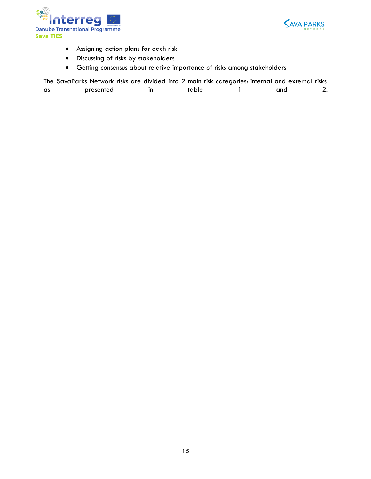



- Assigning action plans for each risk
- Discussing of risks by stakeholders
- Getting consensus about relative importance of risks among stakeholders

|    | The SavaParks Network risks are divided into 2 main risk categories: internal and external risks |       |     |  |
|----|--------------------------------------------------------------------------------------------------|-------|-----|--|
| as | presented                                                                                        | table | and |  |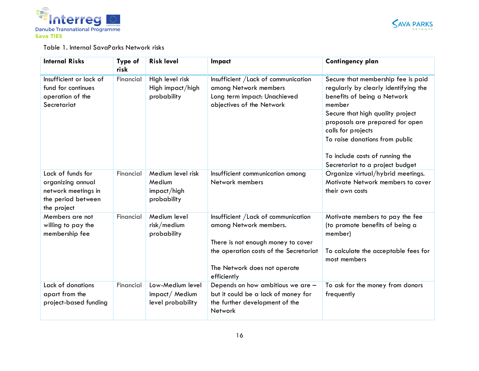



#### Table 1. Internal SavaParks Network risks

| <b>Internal Risks</b>                                                                              | Type of<br>risk | <b>Risk level</b>                                         | Impact                                                                                                                                                                                        | <b>Contingency plan</b>                                                                                                                                                                                                                                                                                                  |
|----------------------------------------------------------------------------------------------------|-----------------|-----------------------------------------------------------|-----------------------------------------------------------------------------------------------------------------------------------------------------------------------------------------------|--------------------------------------------------------------------------------------------------------------------------------------------------------------------------------------------------------------------------------------------------------------------------------------------------------------------------|
| Insufficient or lack of<br>fund for continues<br>operation of the<br>Secretariat                   | Financial       | High level risk<br>High impact/high<br>probability        | Insufficient / Lack of communication<br>among Network members<br>Long term impact: Unachieved<br>objectives of the Network                                                                    | Secure that membership fee is paid<br>regularly by clearly identifying the<br>benefits of being a Network<br>member<br>Secure that high quality project<br>proposals are prepared for open<br>calls for projects<br>To raise donations from public<br>To include costs of running the<br>Secretariat to a project budget |
| Lack of funds for<br>organizing annual<br>network meetings in<br>the period between<br>the project | Financial       | Medium level risk<br>Medium<br>impact/high<br>probability | Insufficient communication among<br>Network members                                                                                                                                           | Organize virtual/hybrid meetings.<br>Motivate Network members to cover<br>their own costs                                                                                                                                                                                                                                |
| Members are not<br>willing to pay the<br>membership fee                                            | Financial       | Medium level<br>risk/medium<br>probability                | Insufficient / Lack of communication<br>among Network members.<br>There is not enough money to cover<br>the operation costs of the Secretariat<br>The Network does not operate<br>efficiently | Motivate members to pay the fee<br>(to promote benefits of being a<br>member)<br>To calculate the acceptable fees for<br>most members                                                                                                                                                                                    |
| Lack of donations<br>apart from the<br>project-based funding                                       | Financial       | Low-Medium level<br>impact/Medium<br>level probability    | Depends on how ambitious we are -<br>but it could be a lack of money for<br>the further development of the<br><b>Network</b>                                                                  | To ask for the money from donors<br>frequently                                                                                                                                                                                                                                                                           |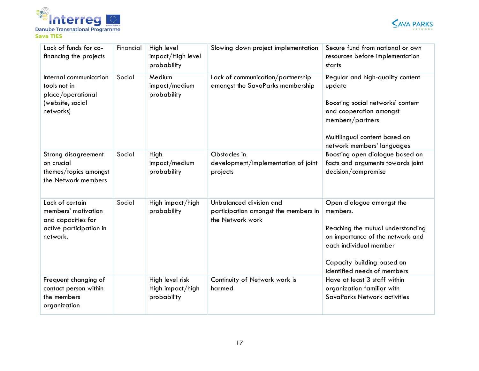



| Lack of funds for co-<br>financing the projects                                                     | Financial | High level<br>impact/High level<br>probability     | Slowing down project implementation                                                 | Secure fund from national or own<br>resources before implementation<br>starts                                                                                                                         |
|-----------------------------------------------------------------------------------------------------|-----------|----------------------------------------------------|-------------------------------------------------------------------------------------|-------------------------------------------------------------------------------------------------------------------------------------------------------------------------------------------------------|
| Internal communication<br>tools not in<br>place/operational<br>(website, social<br>networks)        | Social    | Medium<br>impact/medium<br>probability             | Lack of communication/partnership<br>amongst the SavaParks membership               | Regular and high-quality content<br>update<br>Boosting social networks' content<br>and cooperation amongst<br>members/partners<br>Multilingual content based on<br>network members' languages         |
| Strong disagreement<br>on crucial<br>themes/topics amongst<br>the Network members                   | Social    | High<br>impact/medium<br>probability               | Obstacles in<br>development/implementation of joint<br>projects                     | Boosting open dialogue based on<br>facts and arguments towards joint<br>decision/compromise                                                                                                           |
| Lack of certain<br>members' motivation<br>and capacities for<br>active participation in<br>network. | Social    | High impact/high<br>probability                    | Unbalanced division and<br>participation amongst the members in<br>the Network work | Open dialogue amongst the<br>members.<br>Reaching the mutual understanding<br>on importance of the network and<br>each individual member<br>Capacity building based on<br>identified needs of members |
| Frequent changing of<br>contact person within<br>the members<br>organization                        |           | High level risk<br>High impact/high<br>probability | Continuity of Network work is<br>harmed                                             | Have at least 3 staff within<br>organization familiar with<br>SavaParks Network activities                                                                                                            |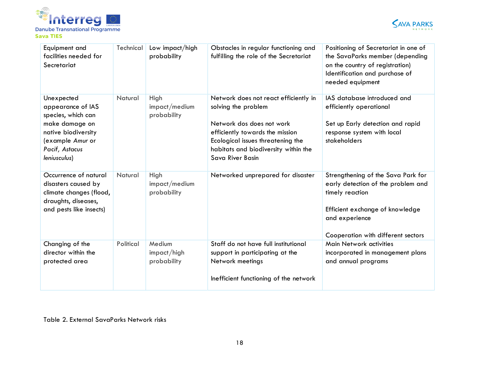



| Equipment and<br>facilities needed for<br>Secretariat                                                                                                | Technical | Low impact/high<br>probability       | Obstacles in regular functioning and<br>fulfilling the role of the Secretariat                                                                                                                                                | Positioning of Secretariat in one of<br>the SavaParks member (depending<br>on the country of registration)<br>Identification and purchase of<br>needed equipment                       |
|------------------------------------------------------------------------------------------------------------------------------------------------------|-----------|--------------------------------------|-------------------------------------------------------------------------------------------------------------------------------------------------------------------------------------------------------------------------------|----------------------------------------------------------------------------------------------------------------------------------------------------------------------------------------|
| Unexpected<br>appearance of IAS<br>species, which can<br>make damage on<br>native biodiversity<br>(example Amur or<br>Pacif, Astacus<br>leniusculus) | Natural   | High<br>impact/medium<br>probability | Network does not react efficiently in<br>solving the problem<br>Network dos does not work<br>efficiently towards the mission<br>Ecological issues threatening the<br>habitats and biodiversity within the<br>Sava River Basin | IAS database introduced and<br>efficiently operational<br>Set up Early detection and rapid<br>response system with local<br>stakeholders                                               |
| Occurrence of natural<br>disasters caused by<br>climate changes (flood,<br>draughts, diseases,<br>and pests like insects)                            | Natural   | High<br>impact/medium<br>probability | Networked unprepared for disaster                                                                                                                                                                                             | Strengthening of the Sava Park for<br>early detection of the problem and<br>timely reaction<br>Efficient exchange of knowledge<br>and experience<br>Cooperation with different sectors |
| Changing of the<br>director within the<br>protected area                                                                                             | Political | Medium<br>impact/high<br>probability | Staff do not have full institutional<br>support in participating at the<br>Network meetings<br>Inefficient functioning of the network                                                                                         | Main Network activities<br>incorporated in management plans<br>and annual programs                                                                                                     |

Table 2. External SavaParks Network risks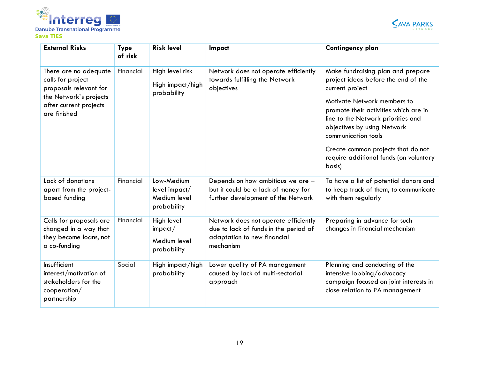



| <b>External Risks</b>                                                                                                                    | <b>Type</b><br>of risk | <b>Risk level</b>                                          | Impact                                                                                                                    | <b>Contingency plan</b>                                                                                                                                                                                                                                                                                                                                   |
|------------------------------------------------------------------------------------------------------------------------------------------|------------------------|------------------------------------------------------------|---------------------------------------------------------------------------------------------------------------------------|-----------------------------------------------------------------------------------------------------------------------------------------------------------------------------------------------------------------------------------------------------------------------------------------------------------------------------------------------------------|
| There are no adequate<br>calls for project<br>proposals relevant for<br>the Network's projects<br>after current projects<br>are finished | Financial              | High level risk<br>High impact/high<br>probability         | Network does not operate efficiently<br>towards fulfilling the Network<br>objectives                                      | Make fundraising plan and prepare<br>project ideas before the end of the<br>current project<br>Motivate Network members to<br>promote their activities which are in<br>line to the Network priorities and<br>objectives by using Network<br>communication tools<br>Create common projects that do not<br>require additional funds (on voluntary<br>basis) |
| Lack of donations<br>apart from the project-<br>based funding                                                                            | Financial              | Low-Medium<br>level import/<br>Medium level<br>probability | Depends on how ambitious we are -<br>but it could be a lack of money for<br>further development of the Network            | To have a list of potential donors and<br>to keep track of them, to communicate<br>with them regularly                                                                                                                                                                                                                                                    |
| Calls for proposals are<br>changed in a way that<br>they become loans, not<br>a co-funding                                               | Financial              | High level<br>impact/<br>Medium level<br>probability       | Network does not operate efficiently<br>due to lack of funds in the period of<br>adaptation to new financial<br>mechanism | Preparing in advance for such<br>changes in financial mechanism                                                                                                                                                                                                                                                                                           |
| Insufficient<br>interest/motivation of<br>stakeholders for the<br>cooperation/<br>partnership                                            | Social                 | High impact/high<br>probability                            | Lower quality of PA management<br>caused by lack of multi-sectorial<br>approach                                           | Planning and conducting of the<br>intensive lobbing/advocacy<br>campaign focused on joint interests in<br>close relation to PA management                                                                                                                                                                                                                 |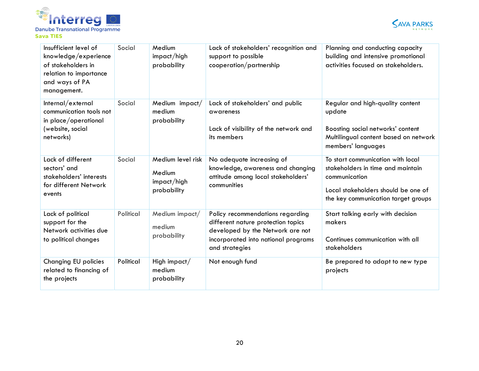



| Insufficient level of<br>knowledge/experience<br>of stakeholders in<br>relation to importance<br>and ways of PA<br>management. | Social    | Medium<br>impact/high<br>probability                      | Lack of stakeholders' recognition and<br>support to possible<br>cooperation/partnership                                                                             | Planning and conducting capacity<br>building and intensive promotional<br>activities focused on stakeholders.                                                         |
|--------------------------------------------------------------------------------------------------------------------------------|-----------|-----------------------------------------------------------|---------------------------------------------------------------------------------------------------------------------------------------------------------------------|-----------------------------------------------------------------------------------------------------------------------------------------------------------------------|
| Internal/external<br>communication tools not<br>in place/operational<br>(website, social<br>networks)                          | Social    | Medium impact/<br>medium<br>probability                   | Lack of stakeholders' and public<br>awareness<br>Lack of visibility of the network and<br>its members                                                               | Regular and high-quality content<br>update<br>Boosting social networks' content<br>Multilingual content based on network<br>members' languages                        |
| Lack of different<br>sectors' and<br>stakeholders' interests<br>for different Network<br>events                                | Social    | Medium level risk<br>Medium<br>impact/high<br>probability | No adequate increasing of<br>knowledge, awareness and changing<br>attitude among local stakeholders'<br>communities                                                 | To start communication with local<br>stakeholders in time and maintain<br>communication<br>Local stakeholders should be one of<br>the key communication target groups |
| Lack of political<br>support for the<br>Network activities due<br>to political changes                                         | Political | Medium impact/<br>medium<br>probability                   | Policy recommendations regarding<br>different nature protection topics<br>developed by the Network are not<br>incorporated into national programs<br>and strategies | Start talking early with decision<br>makers<br>Continues communication with all<br>stakeholders                                                                       |
| <b>Changing EU policies</b><br>related to financing of<br>the projects                                                         | Political | High impact/<br>medium<br>probability                     | Not enough fund                                                                                                                                                     | Be prepared to adapt to new type<br>projects                                                                                                                          |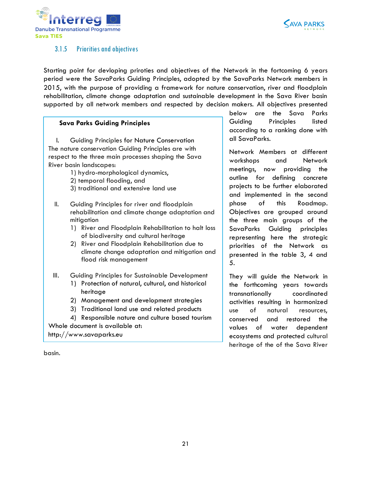



#### <span id="page-20-0"></span>3.1.5 Priorities and objectives

Starting point for devloping priroties and objectives of the Network in the fortcoming 6 years period were the SavaParks Guiding Principles, adopted by the SavaParks Network members in 2015, with the purpose of providing a framework for nature conservation, river and floodplain rehabilitation, climate change adaptation and sustainable development in the Sava River basin supported by all network members and respected by decision makers. All objectives presented

#### **Sava Parks Guiding Principles**

I. Guiding Principles for Nature Conservation The nature conservation Guiding Principles are with respect to the three main processes shaping the Sava River basin landscapes:

- 1) hydro-morphological dynamics,
- 2) temporal flooding, and
- 3) traditional and extensive land use
- II. Guiding Principles for river and floodplain rehabilitation and climate change adaptation and mitigation
	- 1) River and Floodplain Rehabilitation to halt loss of biodiversity and cultural heritage
	- 2) River and Floodplain Rehabilitation due to climate change adaptation and mitigation and flood risk management
- III. Guiding Principles for Sustainable Development
	- 1) Protection of natural, cultural, and historical heritage
	- 2) Management and development strategies
	- 3) Traditional land use and related products

4) Responsible nature and culture based tourism Whole document is available at:

http://www.savaparks.eu

below are the Sava Parks Guiding Principles listed according to a ranking done with all SavaParks.

Network Members at different workshops and Network meetings, now providing the outline for defining concrete projects to be further elaborated and implemented in the second phase of this Roadmap. Objectives are grouped around the three main groups of the SavaParks Guiding principles representing here the strategic priorities of the Network as presented in the table 3, 4 and 5.

They will guide the Network in the forthcoming years towards transnationally coordinated activities resulting in harmonized use of natural resources, conserved and restored the values of water dependent ecosystems and protected cultural heritage of the of the Sava River

basin.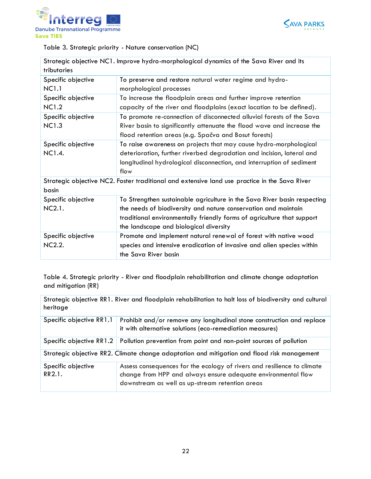



Table 3. Strategic priority - Nature conservation (NC)

| Strategic objective NC1. Improve hydro-morphological dynamics of the Sava River and its |                                                                                               |  |  |  |
|-----------------------------------------------------------------------------------------|-----------------------------------------------------------------------------------------------|--|--|--|
| tributaries                                                                             |                                                                                               |  |  |  |
| Specific objective                                                                      | To preserve and restore natural water regime and hydro-                                       |  |  |  |
| <b>NC1.1</b>                                                                            | morphological processes                                                                       |  |  |  |
| Specific objective                                                                      | To increase the floodplain areas and further improve retention                                |  |  |  |
| <b>NC1.2</b>                                                                            | capacity of the river and floodplains (exact location to be defined).                         |  |  |  |
| Specific objective                                                                      | To promote re-connection of disconnected alluvial forests of the Sava                         |  |  |  |
| <b>NC1.3</b>                                                                            | River basin to significantly attenuate the flood wave and increase the                        |  |  |  |
|                                                                                         | flood retention areas (e.g. Spačva and Bosut forests)                                         |  |  |  |
| Specific objective                                                                      | To raise awareness on projects that may cause hydro-morphological                             |  |  |  |
| NC1.4.                                                                                  | deterioration, further riverbed degradation and incision, lateral and                         |  |  |  |
|                                                                                         | longitudinal hydrological disconnection, and interruption of sediment                         |  |  |  |
|                                                                                         | flow                                                                                          |  |  |  |
|                                                                                         | Strategic objective NC2. Foster traditional and extensive land use practice in the Sava River |  |  |  |
| basin                                                                                   |                                                                                               |  |  |  |
| Specific objective                                                                      | To Strengthen sustainable agriculture in the Sava River basin respecting                      |  |  |  |
| NC2.1.                                                                                  | the needs of biodiversity and nature conservation and maintain                                |  |  |  |
|                                                                                         | traditional environmentally friendly forms of agriculture that support                        |  |  |  |
|                                                                                         | the landscape and biological diversity                                                        |  |  |  |
| Specific objective                                                                      | Promote and implement natural renewal of forest with native wood                              |  |  |  |
| <b>NC2.2.</b>                                                                           | species and intensive eradication of invasive and alien species within                        |  |  |  |
|                                                                                         | the Sava River basin                                                                          |  |  |  |

Table 4. Strategic priority - River and floodplain rehabilitation and climate change adaptation and mitigation (RR)

| Strategic objective RR1. River and floodplain rehabilitation to halt loss of biodiversity and cultural<br>heritage                                                                                                          |                                                                                                                                    |  |  |  |
|-----------------------------------------------------------------------------------------------------------------------------------------------------------------------------------------------------------------------------|------------------------------------------------------------------------------------------------------------------------------------|--|--|--|
| Specific objective RR1.1                                                                                                                                                                                                    | Prohibit and/or remove any longitudinal stone construction and replace<br>it with alternative solutions (eco-remediation measures) |  |  |  |
| Specific objective RR1.2                                                                                                                                                                                                    | Pollution prevention from point and non-point sources of pollution                                                                 |  |  |  |
| Strategic objective RR2. Climate change adaptation and mitigation and flood risk management                                                                                                                                 |                                                                                                                                    |  |  |  |
| Assess consequences for the ecology of rivers and resilience to climate<br>Specific objective<br>RR2.1.<br>change from HPP and always ensure adequate environmental flow<br>downstream as well as up-stream retention areas |                                                                                                                                    |  |  |  |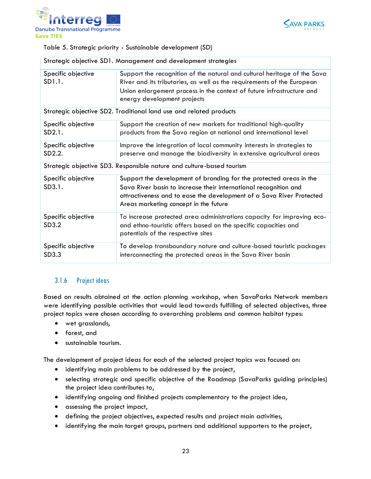



Table 5. Strategic priority - Sustainable development (SD)

| Strategic objective SD1. Management and development strategies |                                                                                                                                                                                                                                                            |  |  |  |
|----------------------------------------------------------------|------------------------------------------------------------------------------------------------------------------------------------------------------------------------------------------------------------------------------------------------------------|--|--|--|
| Specific objective<br>SD1.1.                                   | Support the recognition of the natural and cultural heritage of the Sava<br>River and its tributaries, as well as the requirements of the European<br>Union enlargement process in the context of future infrastructure and<br>energy development projects |  |  |  |
|                                                                | Strategic objective SD2. Traditional land use and related products                                                                                                                                                                                         |  |  |  |
| Specific objective<br>SD2.1.                                   | Support the creation of new markets for traditional high-quality<br>products from the Sava region at national and international level                                                                                                                      |  |  |  |
| Specific objective<br>SD2.2.                                   | Improve the integration of local community interests in strategies to<br>preserve and manage the biodiversity in extensive agricultural areas                                                                                                              |  |  |  |
|                                                                | Strategic objective SD3. Responsible nature and culture-based tourism                                                                                                                                                                                      |  |  |  |
| Specific objective<br>SD3.1.                                   | Support the development of branding for the protected areas in the<br>Sava River basin to increase their international recognition and<br>attractiveness and to ease the development of a Sava River Protected<br>Areas marketing concept in the future    |  |  |  |
| Specific objective<br>SD3.2                                    | To increase protected area administrations capacity for improving eco-<br>and ethno-touristic offers based on the specific capacities and<br>potentials of the respective sites                                                                            |  |  |  |
| Specific objective<br>SD3.3                                    | To develop transboundary nature and culture-based touristic packages<br>interconnecting the protected areas in the Sava River basin                                                                                                                        |  |  |  |

### <span id="page-22-0"></span>3.1.6 Project ideas

Based on results obtained at the action planning workshop, when SavaParks Network members were identifying possible activities that would lead towards fulfilling of selected objectives, three project topics were chosen according to overarching problems and common habitat types:

- wet grasslands,
- forest, and
- sustainable tourism.

The development of project ideas for each of the selected project topics was focused on:

- identifying main problems to be addressed by the project,
- selecting strategic and specific objective of the Roadmap (SavaParks guiding principles) the project idea contributes to,
- identifying ongoing and finished projects complementary to the project idea,
- assessing the project impact,
- defining the project objectives, expected results and project main activities,
- identifying the main target groups, partners and additional supporters to the project,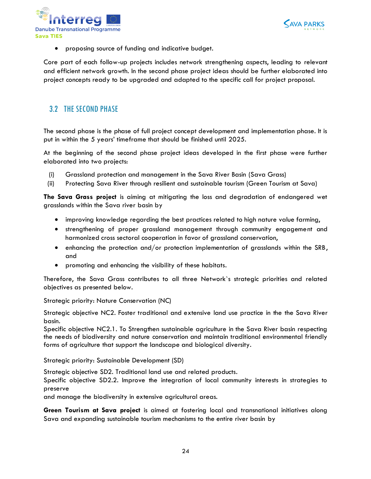



proposing source of funding and indicative budget.

Core part of each follow-up projects includes network strengthening aspects, leading to relevant and efficient network growth. In the second phase project ideas should be further elaborated into project concepts ready to be upgraded and adapted to the specific call for project proposal.

## <span id="page-23-0"></span>3.2 THE SECOND PHASE

The second phase is the phase of full project concept development and implementation phase. It is put in within the 5 years' timeframe that should be finished until 2025.

At the beginning of the second phase project ideas developed in the first phase were further elaborated into two projects:

- (i) Grassland protection and management in the Sava River Basin (Sava Grass)
- (ii) Protecting Sava River through resilient and sustainable tourism (Green Tourism at Sava)

**The Sava Grass project** is aiming at mitigating the loss and degradation of endangered wet grasslands within the Sava river basin by

- improving knowledge regarding the best practices related to high nature value farming,
- strengthening of proper grassland management through community engagement and harmonized cross sectoral cooperation in favor of grassland conservation,
- enhancing the protection and/or protection implementation of grasslands within the SRB, and
- promoting and enhancing the visibility of these habitats.

Therefore, the Sava Grass contributes to all three Network`s strategic priorities and related objectives as presented below.

Strategic priority: Nature Conservation (NC)

Strategic objective NC2. Foster traditional and extensive land use practice in the the Sava River basin.

Specific objective NC2.1. To Strengthen sustainable agriculture in the Sava River basin respecting the needs of biodiversity and nature conservation and maintain traditional environmental friendly forms of agriculture that support the landscape and biological diversity.

Strategic priority: Sustainable Development (SD)

Strategic objective SD2. Traditional land use and related products.

Specific objective SD2.2. Improve the integration of local community interests in strategies to preserve

and manage the biodiversity in extensive agricultural areas.

**Green Tourism at Sava project** is aimed at fostering local and transnational initiatives along Sava and expanding sustainable tourism mechanisms to the entire river basin by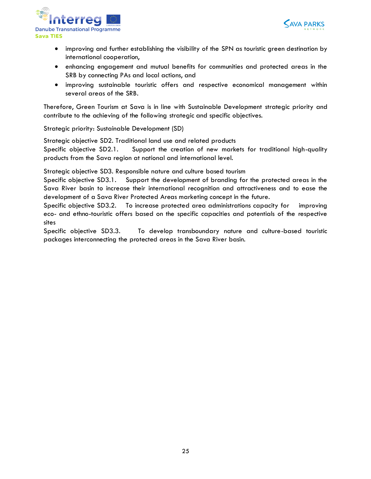



- improving and further establishing the visibility of the SPN as touristic green destination by international cooperation,
- enhancing engagement and mutual benefits for communities and protected areas in the SRB by connecting PAs and local actions, and
- improving sustainable touristic offers and respective economical management within several areas of the SRB.

Therefore, Green Tourism at Sava is in line with Sustainable Development strategic priority and contribute to the achieving of the following strategic and specific objectives.

Strategic priority: Sustainable Development (SD)

Strategic objective SD2. Traditional land use and related products

Specific objective SD2.1. Support the creation of new markets for traditional high-quality products from the Sava region at national and international level.

Strategic objective SD3. Responsible nature and culture based tourism

Specific objective SD3.1. Support the development of branding for the protected areas in the Sava River basin to increase their international recognition and attractiveness and to ease the development of a Sava River Protected Areas marketing concept in the future.

Specific objective SD3.2. To increase protected area administrations capacity for improving eco- and ethno-touristic offers based on the specific capacities and potentials of the respective sites

Specific objective SD3.3. To develop transboundary nature and culture-based touristic packages interconnecting the protected areas in the Sava River basin.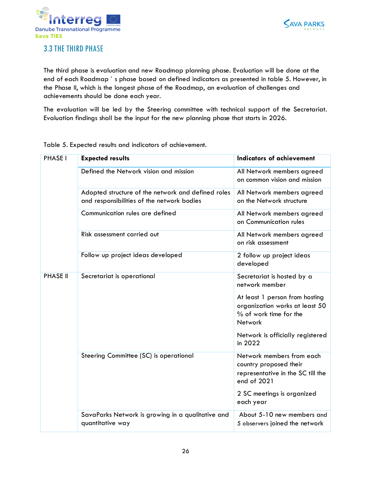



## <span id="page-25-0"></span>3.3 THE THIRD PHASE

The third phase is evaluation and new Roadmap planning phase. Evaluation will be done at the end of each Roadmap ` s phase based on defined indicators as presented in table 5. However, in the Phase II, which is the longest phase of the Roadmap, an evaluation of challenges and achievements should be done each year.

The evaluation will be led by the Steering committee with technical support of the Secretariat. Evaluation findings shall be the input for the new planning phase that starts in 2026.

Table 5. Expected results and indicators of achievement.

| <b>PHASE I</b>  | <b>Expected results</b>                                                                          | <b>Indicators of achievement</b>                                                                        |
|-----------------|--------------------------------------------------------------------------------------------------|---------------------------------------------------------------------------------------------------------|
|                 | Defined the Network vision and mission                                                           | All Network members agreed<br>on common vision and mission                                              |
|                 | Adopted structure of the network and defined roles<br>and responsibilities of the network bodies | All Network members agreed<br>on the Network structure                                                  |
|                 | Communication rules are defined                                                                  | All Network members agreed<br>on Communication rules                                                    |
|                 | Risk assessment carried out                                                                      | All Network members agreed<br>on risk assessment                                                        |
|                 | Follow up project ideas developed                                                                | 2 follow up project ideas<br>developed                                                                  |
| <b>PHASE II</b> | Secretariat is operational                                                                       | Secretariat is hosted by a<br>network member                                                            |
|                 |                                                                                                  | At least 1 person from hosting<br>organization works at least 50<br>% of work time for the<br>Network   |
|                 |                                                                                                  | Network is officially registered<br>in 2022                                                             |
|                 | Steering Committee (SC) is operational                                                           | Network members from each<br>country proposed their<br>representative in the SC till the<br>end of 2021 |
|                 |                                                                                                  | 2 SC meetings is organized<br>each year                                                                 |
|                 | SavaParks Network is growing in a qualitative and<br>quantitative way                            | About 5-10 new members and<br>5 observers joined the network                                            |